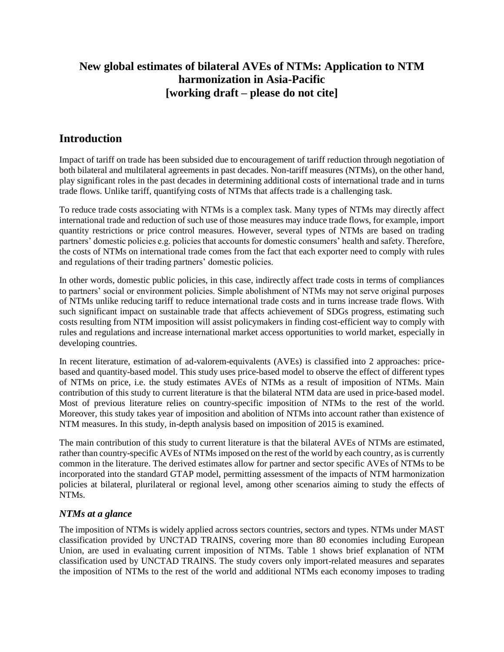# **New global estimates of bilateral AVEs of NTMs: Application to NTM harmonization in Asia-Pacific [working draft – please do not cite]**

# **Introduction**

Impact of tariff on trade has been subsided due to encouragement of tariff reduction through negotiation of both bilateral and multilateral agreements in past decades. Non-tariff measures (NTMs), on the other hand, play significant roles in the past decades in determining additional costs of international trade and in turns trade flows. Unlike tariff, quantifying costs of NTMs that affects trade is a challenging task.

To reduce trade costs associating with NTMs is a complex task. Many types of NTMs may directly affect international trade and reduction of such use of those measures may induce trade flows, for example, import quantity restrictions or price control measures. However, several types of NTMs are based on trading partners' domestic policies e.g. policies that accounts for domestic consumers' health and safety. Therefore, the costs of NTMs on international trade comes from the fact that each exporter need to comply with rules and regulations of their trading partners' domestic policies.

In other words, domestic public policies, in this case, indirectly affect trade costs in terms of compliances to partners' social or environment policies. Simple abolishment of NTMs may not serve original purposes of NTMs unlike reducing tariff to reduce international trade costs and in turns increase trade flows. With such significant impact on sustainable trade that affects achievement of SDGs progress, estimating such costs resulting from NTM imposition will assist policymakers in finding cost-efficient way to comply with rules and regulations and increase international market access opportunities to world market, especially in developing countries.

In recent literature, estimation of ad-valorem-equivalents (AVEs) is classified into 2 approaches: pricebased and quantity-based model. This study uses price-based model to observe the effect of different types of NTMs on price, i.e. the study estimates AVEs of NTMs as a result of imposition of NTMs. Main contribution of this study to current literature is that the bilateral NTM data are used in price-based model. Most of previous literature relies on country-specific imposition of NTMs to the rest of the world. Moreover, this study takes year of imposition and abolition of NTMs into account rather than existence of NTM measures. In this study, in-depth analysis based on imposition of 2015 is examined.

The main contribution of this study to current literature is that the bilateral AVEs of NTMs are estimated, rather than country-specific AVEs of NTMs imposed on the rest of the world by each country, as is currently common in the literature. The derived estimates allow for partner and sector specific AVEs of NTMs to be incorporated into the standard GTAP model, permitting assessment of the impacts of NTM harmonization policies at bilateral, plurilateral or regional level, among other scenarios aiming to study the effects of NTMs.

# *NTMs at a glance*

The imposition of NTMs is widely applied across sectors countries, sectors and types. NTMs under MAST classification provided by UNCTAD TRAINS, covering more than 80 economies including European Union, are used in evaluating current imposition of NTMs. Table 1 shows brief explanation of NTM classification used by UNCTAD TRAINS. The study covers only import-related measures and separates the imposition of NTMs to the rest of the world and additional NTMs each economy imposes to trading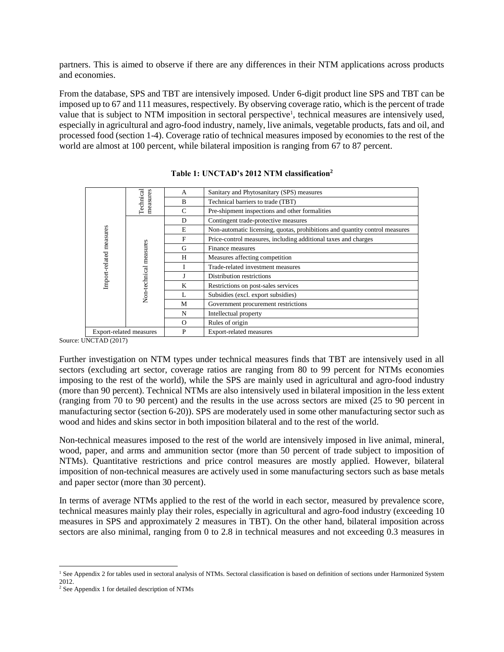partners. This is aimed to observe if there are any differences in their NTM applications across products and economies.

From the database, SPS and TBT are intensively imposed. Under 6-digit product line SPS and TBT can be imposed up to 67 and 111 measures, respectively. By observing coverage ratio, which is the percent of trade value that is subject to NTM imposition in sectoral perspective<sup>1</sup>, technical measures are intensively used, especially in agricultural and agro-food industry, namely, live animals, vegetable products, fats and oil, and processed food (section 1-4). Coverage ratio of technical measures imposed by economies to the rest of the world are almost at 100 percent, while bilateral imposition is ranging from 67 to 87 percent.

| Import-related measures        | Technical<br>measures  | A        | Sanitary and Phytosanitary (SPS) measures                                   |
|--------------------------------|------------------------|----------|-----------------------------------------------------------------------------|
|                                |                        | B        | Technical barriers to trade (TBT)                                           |
|                                |                        | C        | Pre-shipment inspections and other formalities                              |
|                                | Non-technical measures | D        | Contingent trade-protective measures                                        |
|                                |                        | E        | Non-automatic licensing, quotas, prohibitions and quantity control measures |
|                                |                        | F        | Price-control measures, including additional taxes and charges              |
|                                |                        | G        | Finance measures                                                            |
|                                |                        | H        | Measures affecting competition                                              |
|                                |                        |          | Trade-related investment measures                                           |
|                                |                        |          | Distribution restrictions                                                   |
|                                |                        | K        | Restrictions on post-sales services                                         |
|                                |                        | L        | Subsidies (excl. export subsidies)                                          |
|                                |                        | М        | Government procurement restrictions                                         |
|                                |                        | N        | Intellectual property                                                       |
|                                |                        | $\Omega$ | Rules of origin                                                             |
| <b>Export-related measures</b> |                        | P        | Export-related measures                                                     |

### **Table 1: UNCTAD's 2012 NTM classification<sup>2</sup>**

Source: UNCTAD (2017)

Further investigation on NTM types under technical measures finds that TBT are intensively used in all sectors (excluding art sector, coverage ratios are ranging from 80 to 99 percent for NTMs economies imposing to the rest of the world), while the SPS are mainly used in agricultural and agro-food industry (more than 90 percent). Technical NTMs are also intensively used in bilateral imposition in the less extent (ranging from 70 to 90 percent) and the results in the use across sectors are mixed (25 to 90 percent in manufacturing sector (section 6-20)). SPS are moderately used in some other manufacturing sector such as wood and hides and skins sector in both imposition bilateral and to the rest of the world.

Non-technical measures imposed to the rest of the world are intensively imposed in live animal, mineral, wood, paper, and arms and ammunition sector (more than 50 percent of trade subject to imposition of NTMs). Quantitative restrictions and price control measures are mostly applied. However, bilateral imposition of non-technical measures are actively used in some manufacturing sectors such as base metals and paper sector (more than 30 percent).

In terms of average NTMs applied to the rest of the world in each sector, measured by prevalence score, technical measures mainly play their roles, especially in agricultural and agro-food industry (exceeding 10 measures in SPS and approximately 2 measures in TBT). On the other hand, bilateral imposition across sectors are also minimal, ranging from 0 to 2.8 in technical measures and not exceeding 0.3 measures in

 $\overline{a}$ 

<sup>&</sup>lt;sup>1</sup> See Appendix 2 for tables used in sectoral analysis of NTMs. Sectoral classification is based on definition of sections under Harmonized System 2012.

<sup>2</sup> See Appendix 1 for detailed description of NTMs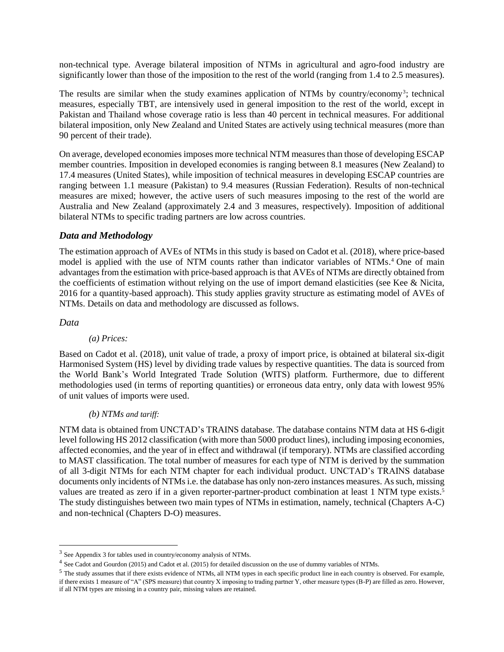non-technical type. Average bilateral imposition of NTMs in agricultural and agro-food industry are significantly lower than those of the imposition to the rest of the world (ranging from 1.4 to 2.5 measures).

The results are similar when the study examines application of NTMs by country/economy<sup>3</sup>; technical measures, especially TBT, are intensively used in general imposition to the rest of the world, except in Pakistan and Thailand whose coverage ratio is less than 40 percent in technical measures. For additional bilateral imposition, only New Zealand and United States are actively using technical measures (more than 90 percent of their trade).

On average, developed economies imposes more technical NTM measures than those of developing ESCAP member countries. Imposition in developed economies is ranging between 8.1 measures (New Zealand) to 17.4 measures (United States), while imposition of technical measures in developing ESCAP countries are ranging between 1.1 measure (Pakistan) to 9.4 measures (Russian Federation). Results of non-technical measures are mixed; however, the active users of such measures imposing to the rest of the world are Australia and New Zealand (approximately 2.4 and 3 measures, respectively). Imposition of additional bilateral NTMs to specific trading partners are low across countries.

## *Data and Methodology*

The estimation approach of AVEs of NTMs in this study is based on Cadot et al. (2018), where price-based model is applied with the use of NTM counts rather than indicator variables of NTMs. <sup>4</sup> One of main advantages from the estimation with price-based approach is that AVEs of NTMs are directly obtained from the coefficients of estimation without relying on the use of import demand elasticities (see Kee & Nicita, 2016 for a quantity-based approach). This study applies gravity structure as estimating model of AVEs of NTMs. Details on data and methodology are discussed as follows.

### *Data*

l

## *(a) Prices:*

Based on Cadot et al. (2018), unit value of trade, a proxy of import price, is obtained at bilateral six-digit Harmonised System (HS) level by dividing trade values by respective quantities. The data is sourced from the World Bank's World Integrated Trade Solution (WITS) platform. Furthermore, due to different methodologies used (in terms of reporting quantities) or erroneous data entry, only data with lowest 95% of unit values of imports were used.

## *(b) NTMs and tariff:*

NTM data is obtained from UNCTAD's TRAINS database. The database contains NTM data at HS 6-digit level following HS 2012 classification (with more than 5000 product lines), including imposing economies, affected economies, and the year of in effect and withdrawal (if temporary). NTMs are classified according to MAST classification. The total number of measures for each type of NTM is derived by the summation of all 3-digit NTMs for each NTM chapter for each individual product. UNCTAD's TRAINS database documents only incidents of NTMs i.e. the database has only non-zero instances measures. As such, missing values are treated as zero if in a given reporter-partner-product combination at least 1 NTM type exists.<sup>5</sup> The study distinguishes between two main types of NTMs in estimation, namely, technical (Chapters A-C) and non-technical (Chapters D-O) measures.

<sup>&</sup>lt;sup>3</sup> See Appendix 3 for tables used in country/economy analysis of NTMs.

<sup>&</sup>lt;sup>4</sup> See Cadot and Gourdon (2015) and Cadot et al. (2015) for detailed discussion on the use of dummy variables of NTMs.

<sup>&</sup>lt;sup>5</sup> The study assumes that if there exists evidence of NTMs, all NTM types in each specific product line in each country is observed. For example, if there exists 1 measure of "A" (SPS measure) that country X imposing to trading partner Y, other measure types (B-P) are filled as zero. However, if all NTM types are missing in a country pair, missing values are retained.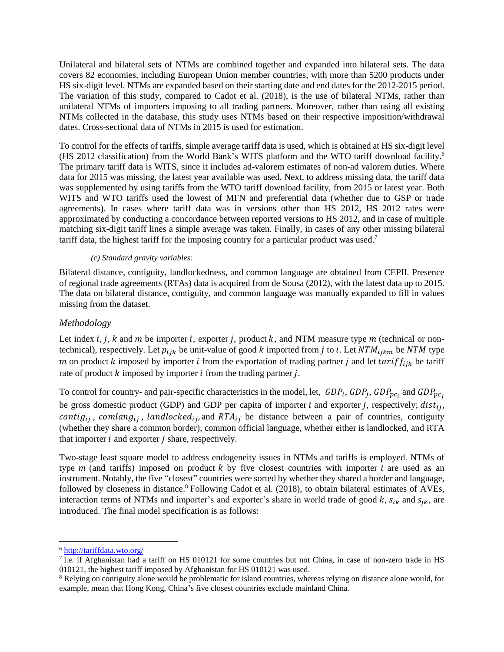Unilateral and bilateral sets of NTMs are combined together and expanded into bilateral sets. The data covers 82 economies, including European Union member countries, with more than 5200 products under HS six-digit level. NTMs are expanded based on their starting date and end dates for the 2012-2015 period. The variation of this study, compared to Cadot et al. (2018), is the use of bilateral NTMs, rather than unilateral NTMs of importers imposing to all trading partners. Moreover, rather than using all existing NTMs collected in the database, this study uses NTMs based on their respective imposition/withdrawal dates. Cross-sectional data of NTMs in 2015 is used for estimation.

To control for the effects of tariffs, simple average tariff data is used, which is obtained at HS six-digit level (HS 2012 classification) from the World Bank's WITS platform and the WTO tariff download facility. 6 The primary tariff data is WITS, since it includes ad-valorem estimates of non-ad valorem duties. Where data for 2015 was missing, the latest year available was used. Next, to address missing data, the tariff data was supplemented by using tariffs from the WTO tariff download facility, from 2015 or latest year. Both WITS and WTO tariffs used the lowest of MFN and preferential data (whether due to GSP or trade agreements). In cases where tariff data was in versions other than HS 2012, HS 2012 rates were approximated by conducting a concordance between reported versions to HS 2012, and in case of multiple matching six-digit tariff lines a simple average was taken. Finally, in cases of any other missing bilateral tariff data, the highest tariff for the imposing country for a particular product was used.<sup>7</sup>

## *(c) Standard gravity variables:*

Bilateral distance, contiguity, landlockedness, and common language are obtained from CEPII. Presence of regional trade agreements (RTAs) data is acquired from de Sousa (2012), with the latest data up to 2015. The data on bilateral distance, contiguity, and common language was manually expanded to fill in values missing from the dataset.

## *Methodology*

Let index i, j, k and m be importer i, exporter j, product k, and NTM measure type  $m$  (technical or nontechnical), respectively. Let  $p_{ijk}$  be unit-value of good k imported from j to i. Let  $NTM_{ijkm}$  be NTM type m on product k imposed by importer *i* from the exportation of trading partner *j* and let  $tariff_{iik}$  be tariff rate of product  $k$  imposed by importer  $i$  from the trading partner  $j$ .

To control for country- and pair-specific characteristics in the model, let,  $GDP_i$ ,  $GDP_j$ ,  $GDP_{pc_i}$  and  $GDP_{pc_j}$ be gross domestic product (GDP) and GDP per capita of importer  $i$  and exporter  $j$ , respectively;  $dist_{ij}$ , contig<sub>ij</sub>, comlang<sub>ij</sub>, landlocked<sub>ij</sub>, and RTA<sub>ij</sub> be distance between a pair of countries, contiguity (whether they share a common border), common official language, whether either is landlocked, and RTA that importer  $i$  and exporter  $j$  share, respectively.

Two-stage least square model to address endogeneity issues in NTMs and tariffs is employed. NTMs of type  $m$  (and tariffs) imposed on product  $k$  by five closest countries with importer  $i$  are used as an instrument. Notably, the five "closest" countries were sorted by whether they shared a border and language, followed by closeness in distance.<sup>8</sup> Following Cadot et al. (2018), to obtain bilateral estimates of AVEs, interaction terms of NTMs and importer's and exporter's share in world trade of good  $k$ ,  $s_{ik}$  and  $s_{ik}$ , are introduced. The final model specification is as follows:

 $\overline{a}$ 

<sup>6</sup> <http://tariffdata.wto.org/>

 $^7$  i.e. if Afghanistan had a tariff on HS 010121 for some countries but not China, in case of non-zero trade in HS 010121, the highest tariff imposed by Afghanistan for HS 010121 was used.

<sup>&</sup>lt;sup>8</sup> Relying on contiguity alone would be problematic for island countries, whereas relying on distance alone would, for example, mean that Hong Kong, China's five closest countries exclude mainland China.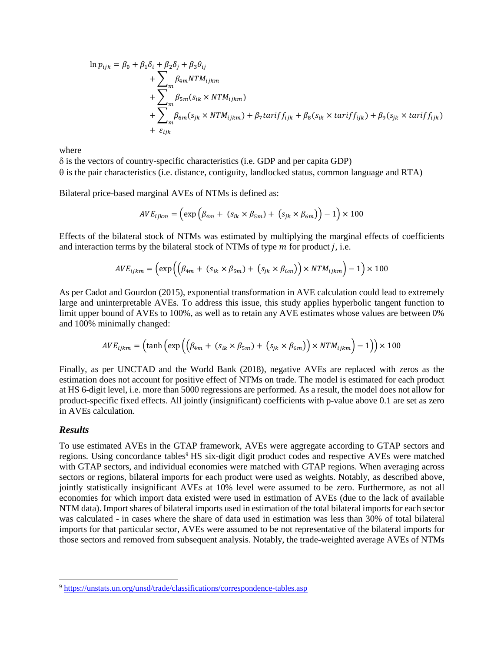$$
\ln p_{ijk} = \beta_0 + \beta_1 \delta_i + \beta_2 \delta_j + \beta_3 \theta_{ij}
$$
  
+ 
$$
\sum_m \beta_{4m} N T M_{ijkm}
$$
  
+ 
$$
\sum_m \beta_{5m} (s_{ik} \times N T M_{ijkm})
$$
  
+ 
$$
\sum_m \beta_{6m} (s_{jk} \times N T M_{ijkm}) + \beta_7 \text{tarif } f_{ijk} + \beta_8 (s_{ik} \times \text{tarif } f_{ijk}) + \beta_9 (s_{jk} \times \text{tarif } f_{ijk})
$$
  
+ 
$$
\varepsilon_{ijk}
$$

where

 $\delta$  is the vectors of country-specific characteristics (i.e. GDP and per capita GDP)  $\theta$  is the pair characteristics (i.e. distance, contiguity, landlocked status, common language and RTA)

Bilateral price-based marginal AVEs of NTMs is defined as:

$$
AVE_{ijkm} = \left(\exp\left(\beta_{4m} + (s_{ik} \times \beta_{5m}) + (s_{jk} \times \beta_{6m})\right) - 1\right) \times 100
$$

Effects of the bilateral stock of NTMs was estimated by multiplying the marginal effects of coefficients and interaction terms by the bilateral stock of NTMs of type  $m$  for product  $j$ , i.e.

$$
AVE_{ijkm} = \left(\exp\left(\left(\beta_{4m} + (s_{ik} \times \beta_{5m}) + (s_{jk} \times \beta_{6m})\right) \times NTM_{ijkm}\right) - 1\right) \times 100
$$

As per Cadot and Gourdon (2015), exponential transformation in AVE calculation could lead to extremely large and uninterpretable AVEs. To address this issue, this study applies hyperbolic tangent function to limit upper bound of AVEs to 100%, as well as to retain any AVE estimates whose values are between 0% and 100% minimally changed:

$$
AVE_{ijkm} = (\tanh\left(\exp\left(\left(\beta_{4m} + (s_{ik} \times \beta_{5m}) + (s_{jk} \times \beta_{6m})\right) \times NTM_{ijkm}\right) - 1\right)) \times 100
$$

Finally, as per UNCTAD and the World Bank (2018), negative AVEs are replaced with zeros as the estimation does not account for positive effect of NTMs on trade. The model is estimated for each product at HS 6-digit level, i.e. more than 5000 regressions are performed. As a result, the model does not allow for product-specific fixed effects. All jointly (insignificant) coefficients with p-value above 0.1 are set as zero in AVEs calculation.

#### *Results*

l

To use estimated AVEs in the GTAP framework, AVEs were aggregate according to GTAP sectors and regions. Using concordance tables<sup>9</sup> HS six-digit digit product codes and respective AVEs were matched with GTAP sectors, and individual economies were matched with GTAP regions. When averaging across sectors or regions, bilateral imports for each product were used as weights. Notably, as described above, jointly statistically insignificant AVEs at 10% level were assumed to be zero. Furthermore, as not all economies for which import data existed were used in estimation of AVEs (due to the lack of available NTM data). Import shares of bilateral imports used in estimation of the total bilateral imports for each sector was calculated - in cases where the share of data used in estimation was less than 30% of total bilateral imports for that particular sector, AVEs were assumed to be not representative of the bilateral imports for those sectors and removed from subsequent analysis. Notably, the trade-weighted average AVEs of NTMs

<sup>9</sup> <https://unstats.un.org/unsd/trade/classifications/correspondence-tables.asp>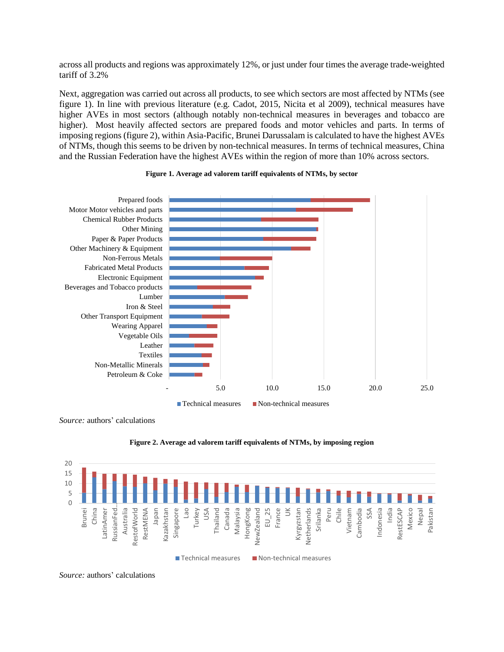across all products and regions was approximately 12%, or just under four times the average trade-weighted tariff of 3.2%

Next, aggregation was carried out across all products, to see which sectors are most affected by NTMs (see figure 1). In line with previous literature (e.g. Cadot, 2015, Nicita et al 2009), technical measures have higher AVEs in most sectors (although notably non-technical measures in beverages and tobacco are higher). Most heavily affected sectors are prepared foods and motor vehicles and parts. In terms of imposing regions (figure 2), within Asia-Pacific, Brunei Darussalam is calculated to have the highest AVEs of NTMs, though this seems to be driven by non-technical measures. In terms of technical measures, China and the Russian Federation have the highest AVEs within the region of more than 10% across sectors.



#### **Figure 1. Average ad valorem tariff equivalents of NTMs, by sector**

■ Technical measures Non-technical measures

*Source:* authors' calculations





*Source:* authors' calculations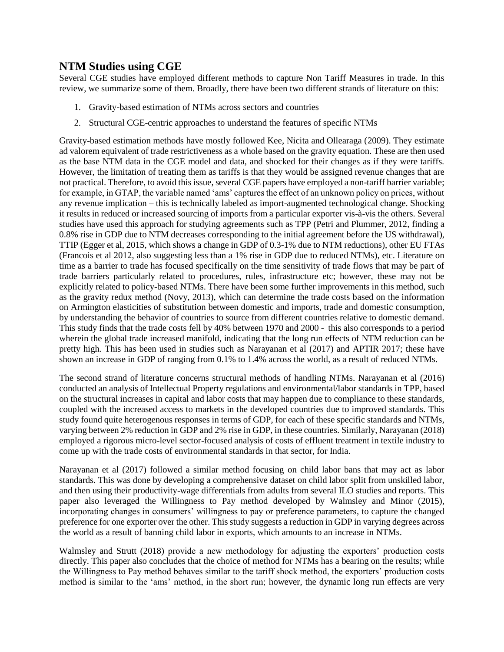# **NTM Studies using CGE**

Several CGE studies have employed different methods to capture Non Tariff Measures in trade. In this review, we summarize some of them. Broadly, there have been two different strands of literature on this:

- 1. Gravity-based estimation of NTMs across sectors and countries
- 2. Structural CGE-centric approaches to understand the features of specific NTMs

Gravity-based estimation methods have mostly followed Kee, Nicita and Ollearaga (2009). They estimate ad valorem equivalent of trade restrictiveness as a whole based on the gravity equation. These are then used as the base NTM data in the CGE model and data, and shocked for their changes as if they were tariffs. However, the limitation of treating them as tariffs is that they would be assigned revenue changes that are not practical. Therefore, to avoid this issue, several CGE papers have employed a non-tariff barrier variable; for example, in GTAP, the variable named 'ams' captures the effect of an unknown policy on prices, without any revenue implication – this is technically labeled as import-augmented technological change. Shocking it results in reduced or increased sourcing of imports from a particular exporter vis-à-vis the others. Several studies have used this approach for studying agreements such as TPP (Petri and Plummer, 2012, finding a 0.8% rise in GDP due to NTM decreases corresponding to the initial agreement before the US withdrawal), TTIP (Egger et al, 2015, which shows a change in GDP of 0.3-1% due to NTM reductions), other EU FTAs (Francois et al 2012, also suggesting less than a 1% rise in GDP due to reduced NTMs), etc. Literature on time as a barrier to trade has focused specifically on the time sensitivity of trade flows that may be part of trade barriers particularly related to procedures, rules, infrastructure etc; however, these may not be explicitly related to policy-based NTMs. There have been some further improvements in this method, such as the gravity redux method (Novy, 2013), which can determine the trade costs based on the information on Armington elasticities of substitution between domestic and imports, trade and domestic consumption, by understanding the behavior of countries to source from different countries relative to domestic demand. This study finds that the trade costs fell by 40% between 1970 and 2000 - this also corresponds to a period wherein the global trade increased manifold, indicating that the long run effects of NTM reduction can be pretty high. This has been used in studies such as Narayanan et al (2017) and APTIR 2017; these have shown an increase in GDP of ranging from 0.1% to 1.4% across the world, as a result of reduced NTMs.

The second strand of literature concerns structural methods of handling NTMs. Narayanan et al (2016) conducted an analysis of Intellectual Property regulations and environmental/labor standards in TPP, based on the structural increases in capital and labor costs that may happen due to compliance to these standards, coupled with the increased access to markets in the developed countries due to improved standards. This study found quite heterogenous responses in terms of GDP, for each of these specific standards and NTMs, varying between 2% reduction in GDP and 2% rise in GDP, in these countries. Similarly, Narayanan (2018) employed a rigorous micro-level sector-focused analysis of costs of effluent treatment in textile industry to come up with the trade costs of environmental standards in that sector, for India.

Narayanan et al (2017) followed a similar method focusing on child labor bans that may act as labor standards. This was done by developing a comprehensive dataset on child labor split from unskilled labor, and then using their productivity-wage differentials from adults from several ILO studies and reports. This paper also leveraged the Willingness to Pay method developed by Walmsley and Minor (2015), incorporating changes in consumers' willingness to pay or preference parameters, to capture the changed preference for one exporter over the other. This study suggests a reduction in GDP in varying degrees across the world as a result of banning child labor in exports, which amounts to an increase in NTMs.

Walmsley and Strutt (2018) provide a new methodology for adjusting the exporters' production costs directly. This paper also concludes that the choice of method for NTMs has a bearing on the results; while the Willingness to Pay method behaves similar to the tariff shock method, the exporters' production costs method is similar to the 'ams' method, in the short run; however, the dynamic long run effects are very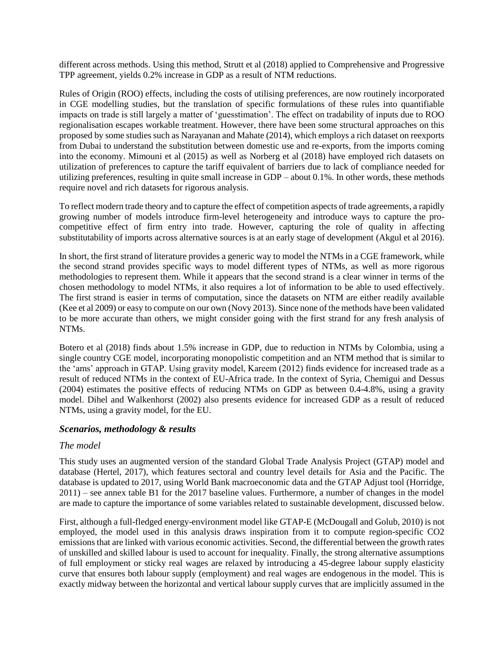different across methods. Using this method, Strutt et al (2018) applied to Comprehensive and Progressive TPP agreement, yields 0.2% increase in GDP as a result of NTM reductions.

Rules of Origin (ROO) effects, including the costs of utilising preferences, are now routinely incorporated in CGE modelling studies, but the translation of specific formulations of these rules into quantifiable impacts on trade is still largely a matter of 'guesstimation'. The effect on tradability of inputs due to ROO regionalisation escapes workable treatment. However, there have been some structural approaches on this proposed by some studies such as Narayanan and Mahate (2014), which employs a rich dataset on reexports from Dubai to understand the substitution between domestic use and re-exports, from the imports coming into the economy. Mimouni et al (2015) as well as Norberg et al (2018) have employed rich datasets on utilization of preferences to capture the tariff equivalent of barriers due to lack of compliance needed for utilizing preferences, resulting in quite small increase in GDP – about 0.1%. In other words, these methods require novel and rich datasets for rigorous analysis.

To reflect modern trade theory and to capture the effect of competition aspects of trade agreements, a rapidly growing number of models introduce firm-level heterogeneity and introduce ways to capture the procompetitive effect of firm entry into trade. However, capturing the role of quality in affecting substitutability of imports across alternative sources is at an early stage of development (Akgul et al 2016).

In short, the first strand of literature provides a generic way to model the NTMs in a CGE framework, while the second strand provides specific ways to model different types of NTMs, as well as more rigorous methodologies to represent them. While it appears that the second strand is a clear winner in terms of the chosen methodology to model NTMs, it also requires a lot of information to be able to used effectively. The first strand is easier in terms of computation, since the datasets on NTM are either readily available (Kee et al 2009) or easy to compute on our own (Novy 2013). Since none of the methods have been validated to be more accurate than others, we might consider going with the first strand for any fresh analysis of NTMs.

Botero et al (2018) finds about 1.5% increase in GDP, due to reduction in NTMs by Colombia, using a single country CGE model, incorporating monopolistic competition and an NTM method that is similar to the 'ams' approach in GTAP. Using gravity model, Kareem (2012) finds evidence for increased trade as a result of reduced NTMs in the context of EU-Africa trade. In the context of Syria, Chemigui and Dessus (2004) estimates the positive effects of reducing NTMs on GDP as between 0.4-4.8%, using a gravity model. Dihel and Walkenhorst (2002) also presents evidence for increased GDP as a result of reduced NTMs, using a gravity model, for the EU.

## *Scenarios, methodology & results*

## *The model*

This study uses an augmented version of the standard Global Trade Analysis Project (GTAP) model and database (Hertel, 2017), which features sectoral and country level details for Asia and the Pacific. The database is updated to 2017, using World Bank macroeconomic data and the GTAP Adjust tool (Horridge, 2011) – see annex table B1 for the 2017 baseline values. Furthermore, a number of changes in the model are made to capture the importance of some variables related to sustainable development, discussed below.

First, although a full-fledged energy-environment model like GTAP-E (McDougall and Golub, 2010) is not employed, the model used in this analysis draws inspiration from it to compute region-specific CO2 emissions that are linked with various economic activities. Second, the differential between the growth rates of unskilled and skilled labour is used to account for inequality. Finally, the strong alternative assumptions of full employment or sticky real wages are relaxed by introducing a 45-degree labour supply elasticity curve that ensures both labour supply (employment) and real wages are endogenous in the model. This is exactly midway between the horizontal and vertical labour supply curves that are implicitly assumed in the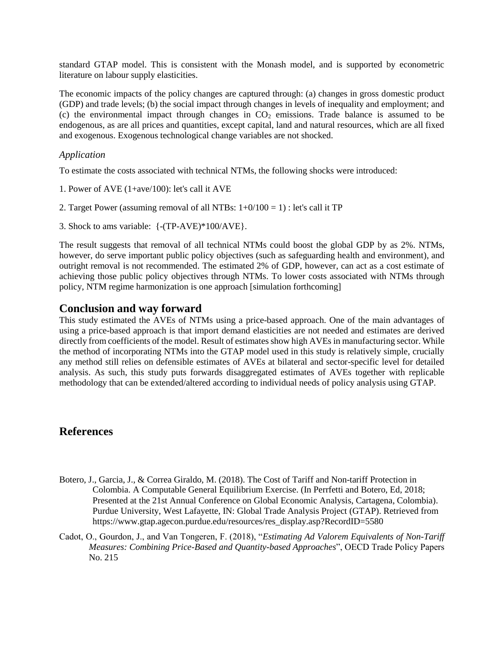standard GTAP model. This is consistent with the Monash model, and is supported by econometric literature on labour supply elasticities.

The economic impacts of the policy changes are captured through: (a) changes in gross domestic product (GDP) and trade levels; (b) the social impact through changes in levels of inequality and employment; and (c) the environmental impact through changes in  $CO<sub>2</sub>$  emissions. Trade balance is assumed to be endogenous, as are all prices and quantities, except capital, land and natural resources, which are all fixed and exogenous. Exogenous technological change variables are not shocked.

## *Application*

To estimate the costs associated with technical NTMs, the following shocks were introduced:

- 1. Power of AVE (1+ave/100): let's call it AVE
- 2. Target Power (assuming removal of all NTBs:  $1+0/100 = 1$ ) : let's call it TP
- 3. Shock to ams variable: {-(TP-AVE)\*100/AVE}.

The result suggests that removal of all technical NTMs could boost the global GDP by as 2%. NTMs, however, do serve important public policy objectives (such as safeguarding health and environment), and outright removal is not recommended. The estimated 2% of GDP, however, can act as a cost estimate of achieving those public policy objectives through NTMs. To lower costs associated with NTMs through policy, NTM regime harmonization is one approach [simulation forthcoming]

# **Conclusion and way forward**

This study estimated the AVEs of NTMs using a price-based approach. One of the main advantages of using a price-based approach is that import demand elasticities are not needed and estimates are derived directly from coefficients of the model. Result of estimates show high AVEs in manufacturing sector. While the method of incorporating NTMs into the GTAP model used in this study is relatively simple, crucially any method still relies on defensible estimates of AVEs at bilateral and sector-specific level for detailed analysis. As such, this study puts forwards disaggregated estimates of AVEs together with replicable methodology that can be extended/altered according to individual needs of policy analysis using GTAP.

# **References**

- Botero, J., Garcia, J., & Correa Giraldo, M. (2018). The Cost of Tariff and Non-tariff Protection in Colombia. A Computable General Equilibrium Exercise. (In Perrfetti and Botero, Ed, 2018; Presented at the 21st Annual Conference on Global Economic Analysis, Cartagena, Colombia). Purdue University, West Lafayette, IN: Global Trade Analysis Project (GTAP). Retrieved from https://www.gtap.agecon.purdue.edu/resources/res\_display.asp?RecordID=5580
- Cadot, O., Gourdon, J., and Van Tongeren, F. (2018), "*Estimating Ad Valorem Equivalents of Non-Tariff Measures: Combining Price-Based and Quantity-based Approaches*", OECD Trade Policy Papers No. 215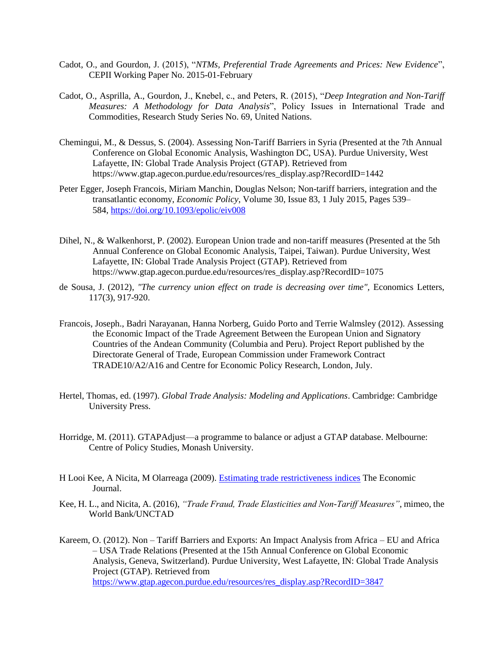- Cadot, O., and Gourdon, J. (2015), "*NTMs, Preferential Trade Agreements and Prices: New Evidence*", CEPII Working Paper No. 2015-01-February
- Cadot, O., Asprilla, A., Gourdon, J., Knebel, c., and Peters, R. (2015), "*Deep Integration and Non-Tariff Measures: A Methodology for Data Analysis*", Policy Issues in International Trade and Commodities, Research Study Series No. 69, United Nations.
- Chemingui, M., & Dessus, S. (2004). Assessing Non-Tariff Barriers in Syria (Presented at the 7th Annual Conference on Global Economic Analysis, Washington DC, USA). Purdue University, West Lafayette, IN: Global Trade Analysis Project (GTAP). Retrieved from https://www.gtap.agecon.purdue.edu/resources/res\_display.asp?RecordID=1442
- Peter Egger, Joseph Francois, Miriam Manchin, Douglas Nelson; Non-tariff barriers, integration and the transatlantic economy, *Economic Policy*, Volume 30, Issue 83, 1 July 2015, Pages 539– 584, <https://doi.org/10.1093/epolic/eiv008>
- Dihel, N., & Walkenhorst, P. (2002). European Union trade and non-tariff measures (Presented at the 5th Annual Conference on Global Economic Analysis, Taipei, Taiwan). Purdue University, West Lafayette, IN: Global Trade Analysis Project (GTAP). Retrieved from https://www.gtap.agecon.purdue.edu/resources/res\_display.asp?RecordID=1075
- de Sousa, J. (2012), *"The currency union effect on trade is decreasing over time",* Economics Letters, 117(3), 917-920.
- Francois, Joseph., Badri Narayanan, Hanna Norberg, Guido Porto and Terrie Walmsley (2012). Assessing the Economic Impact of the Trade Agreement Between the European Union and Signatory Countries of the Andean Community (Columbia and Peru). Project Report published by the Directorate General of Trade, European Commission under Framework Contract TRADE10/A2/A16 and Centre for Economic Policy Research, London, July.
- Hertel, Thomas, ed. (1997). *Global Trade Analysis: Modeling and Applications*. Cambridge: Cambridge University Press.
- Horridge, M. (2011). GTAPAdjust—a programme to balance or adjust a GTAP database. Melbourne: Centre of Policy Studies, Monash University.
- H Looi Kee, A Nicita, M Olarreaga (2009). [Estimating trade restrictiveness indices](https://scholar.google.com/scholar?oi=bibs&cluster=14941849352586742106&btnI=1&hl=en) The Economic Journal.
- Kee, H. L., and Nicita, A. (2016), *"Trade Fraud, Trade Elasticities and Non-Tariff Measures"*, mimeo, the World Bank/UNCTAD
- Kareem, O. (2012). Non Tariff Barriers and Exports: An Impact Analysis from Africa EU and Africa – USA Trade Relations (Presented at the 15th Annual Conference on Global Economic Analysis, Geneva, Switzerland). Purdue University, West Lafayette, IN: Global Trade Analysis Project (GTAP). Retrieved from [https://www.gtap.agecon.purdue.edu/resources/res\\_display.asp?RecordID=3847](https://www.gtap.agecon.purdue.edu/resources/res_display.asp?RecordID=3847)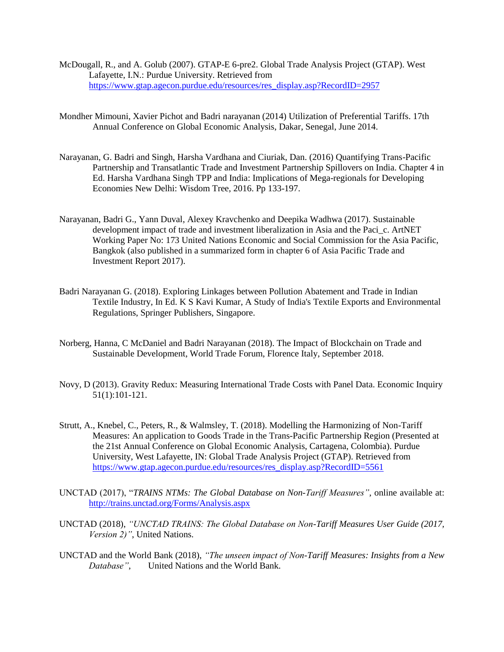- McDougall, R., and A. Golub (2007). GTAP-E 6-pre2. Global Trade Analysis Project (GTAP). West Lafayette, I.N.: Purdue University. Retrieved from [https://www.gtap.agecon.purdue.edu/resources/res\\_display.asp?RecordID=2957](https://www.gtap.agecon.purdue.edu/resources/res_display.asp?RecordID=2957)
- Mondher Mimouni, Xavier Pichot and Badri narayanan (2014) Utilization of Preferential Tariffs. 17th Annual Conference on Global Economic Analysis, Dakar, Senegal, June 2014.
- Narayanan, G. Badri and Singh, Harsha Vardhana and Ciuriak, Dan. (2016) Quantifying Trans-Pacific Partnership and Transatlantic Trade and Investment Partnership Spillovers on India. Chapter 4 in Ed. Harsha Vardhana Singh TPP and India: Implications of Mega-regionals for Developing Economies New Delhi: Wisdom Tree, 2016. Pp 133-197.
- Narayanan, Badri G., Yann Duval, Alexey Kravchenko and Deepika Wadhwa (2017). Sustainable development impact of trade and investment liberalization in Asia and the Paci\_c. ArtNET Working Paper No: 173 United Nations Economic and Social Commission for the Asia Pacific, Bangkok (also published in a summarized form in chapter 6 of Asia Pacific Trade and Investment Report 2017).
- Badri Narayanan G. (2018). Exploring Linkages between Pollution Abatement and Trade in Indian Textile Industry, In Ed. K S Kavi Kumar, A Study of India's Textile Exports and Environmental Regulations, Springer Publishers, Singapore.
- Norberg, Hanna, C McDaniel and Badri Narayanan (2018). The Impact of Blockchain on Trade and Sustainable Development, World Trade Forum, Florence Italy, September 2018.
- Novy, D (2013). Gravity Redux: Measuring International Trade Costs with Panel Data. Economic Inquiry 51(1):101-121.
- Strutt, A., Knebel, C., Peters, R., & Walmsley, T. (2018). Modelling the Harmonizing of Non-Tariff Measures: An application to Goods Trade in the Trans-Pacific Partnership Region (Presented at the 21st Annual Conference on Global Economic Analysis, Cartagena, Colombia). Purdue University, West Lafayette, IN: Global Trade Analysis Project (GTAP). Retrieved from [https://www.gtap.agecon.purdue.edu/resources/res\\_display.asp?RecordID=5561](https://www.gtap.agecon.purdue.edu/resources/res_display.asp?RecordID=5561)
- UNCTAD (2017), "*TRAINS NTMs: The Global Database on Non-Tariff Measures"*, online available at: <http://trains.unctad.org/Forms/Analysis.aspx>
- UNCTAD (2018), *"UNCTAD TRAINS: The Global Database on Non-Tariff Measures User Guide (2017, Version 2)"*, United Nations.
- UNCTAD and the World Bank (2018), *"The unseen impact of Non-Tariff Measures: Insights from a New Database"*, United Nations and the World Bank.